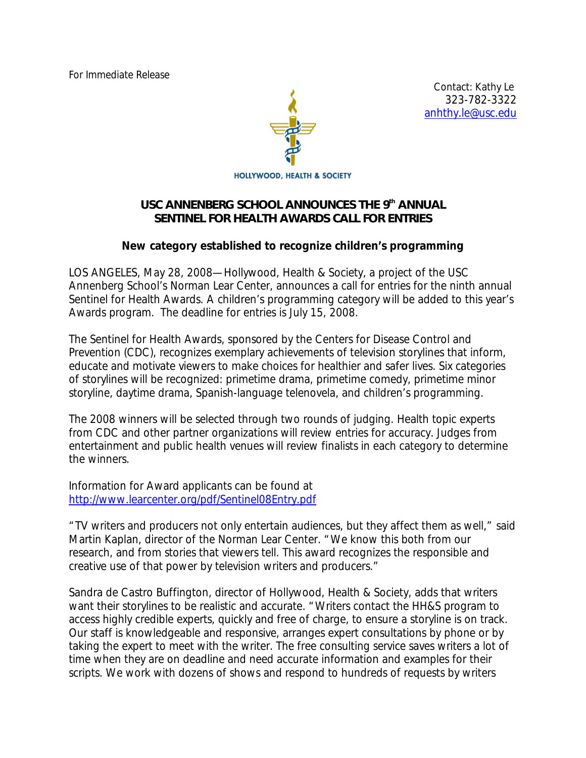For Immediate Release



 Contact: Kathy Le 323-782-3322 anhthy.le@usc.edu

**HOLLYWOOD, HEALTH & SOCIETY** 

## USC ANNENBERG SCHOOL ANNOUNCES THE 9th ANNUAL *SENTINEL FOR HEALTH AWARDS CALL FOR ENTRIES*

## *New category established to recognize children's programming*

LOS ANGELES, May 28, 2008—Hollywood, Health & Society, a project of the USC Annenberg School's Norman Lear Center, announces a call for entries for the ninth annual Sentinel for Health Awards. A children's programming category will be added to this year's Awards program. The deadline for entries is July 15, 2008.

The Sentinel for Health Awards, sponsored by the Centers for Disease Control and Prevention (CDC), recognizes exemplary achievements of television storylines that inform, educate and motivate viewers to make choices for healthier and safer lives. Six categories of storylines will be recognized: primetime drama, primetime comedy, primetime minor storyline, daytime drama, Spanish-language *telenovela*, and children's programming.

The 2008 winners will be selected through two rounds of judging. Health topic experts from CDC and other partner organizations will review entries for accuracy. Judges from entertainment and public health venues will review finalists in each category to determine the winners.

Information for Award applicants can be found at http://www.learcenter.org/pdf/Sentinel08Entry.pdf

"TV writers and producers not only entertain audiences, but they affect them as well," said Martin Kaplan, director of the Norman Lear Center. "We know this both from our research, and from stories that viewers tell. This award recognizes the responsible and creative use of that power by television writers and producers."

Sandra de Castro Buffington, director of Hollywood, Health & Society, adds that writers want their storylines to be realistic and accurate. "Writers contact the HH&S program to access highly credible experts, quickly and free of charge, to ensure a storyline is on track. Our staff is knowledgeable and responsive, arranges expert consultations by phone or by taking the expert to meet with the writer. The free consulting service saves writers a lot of time when they are on deadline and need accurate information and examples for their scripts. We work with dozens of shows and respond to hundreds of requests by writers